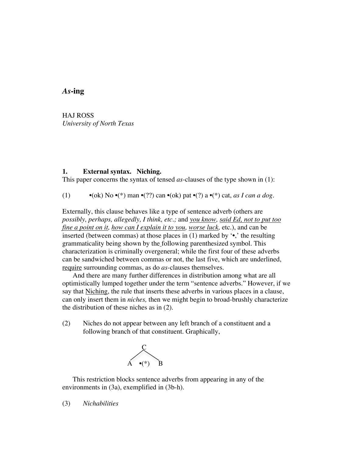## *As***-ing**

HAJ ROSS *University of North Texas*

### **1. External syntax. Niching.**

This paper concerns the syntax of tensed *as*-clauses of the type shown in (1):

(1) •(ok) No •(\*) man •(??) can •(ok) pat •(?) a •(\*) cat, *as I can a dog*.

Externally, this clause behaves like a type of sentence adverb (others are *possibly, perhaps, allegedly, I think, etc.;* and *you know, said Ed, not to put too fine a point on it, how can I explain it to you, worse luck, etc.), and can be* inserted (between commas) at those places in  $(1)$  marked by  $\cdot \cdot$ , the resulting grammaticality being shown by the following parenthesized symbol. This characterization is criminally overgeneral; while the first four of these adverbs can be sandwiched between commas or not, the last five, which are underlined, require surrounding commas, as do *as-*clauses themselves.

And there are many further differences in distribution among what are all optimistically lumped together under the term "sentence adverbs." However, if we say that Niching, the rule that inserts these adverbs in various places in a clause, can only insert them in *niches,* then we might begin to broad-brushly characterize the distribution of these niches as in (2).

(2) Niches do not appear between any left branch of a constituent and a following branch of that constituent. Graphically,



This restriction blocks sentence adverbs from appearing in any of the environments in (3a), exemplified in (3b-h).

(3) *Nichabilities*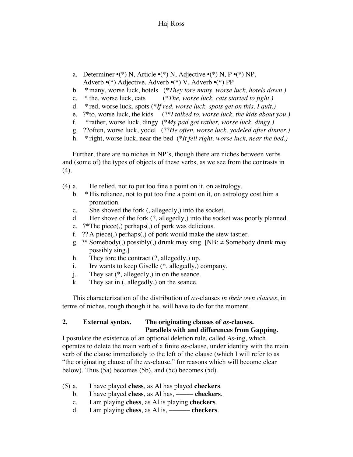- a. Determiner  $\cdot$ (\*) N, Article  $\cdot$ (\*) N, Adjective  $\cdot$ (\*) N, P $\cdot$ (\*) NP, Adverb •(\*) Adjective, Adverb •(\*) V, Adverb •(\*) PP
- b. \*many, worse luck, hotels (\**They tore many, worse luck, hotels down.)*
- c. \* the, worse luck, cats (\**The, worse luck, cats started to fight.)*
- d. \* red, worse luck, spots (\**If red, worse luck, spots get on this, I quit.)*
- e. ?\*to, worse luck, the kids (?\**I talked to, worse luck, the kids about you.)*
- f. \*rather, worse luck, dingy (\**My pad got rather, worse luck, dingy.)*
- g. ??often, worse luck, yodel (??*He often, worse luck, yodeled after dinner.)*
- h. \* right, worse luck, near the bed (\**It fell right, worse luck, near the bed.)*

Further, there are no niches in NP's, though there are niches between verbs and (some of) the types of objects of these verbs, as we see from the contrasts in (4).

- (4) a. He relied, not to put too fine a point on it, on astrology.
	- b. \* His reliance, not to put too fine a point on it, on astrology cost him a promotion.
	- c. She shoved the fork (, allegedly,) into the socket.
	- d. Her shove of the fork (?, allegedly,) into the socket was poorly planned.
	- e. ?\*The piece(,) perhaps(,) of pork was delicious.
	- f. ?? A piece(,) perhaps(,) of pork would make the stew tastier.
	- g. ?\* Somebody(,) possibly(,) drunk may sing. [NB:  $\neq$  Somebody drunk may possibly sing.]
	- h. They tore the contract  $(?,$  allegedly,) up.
	- i. Irv wants to keep Giselle (\*, allegedly,) company.
	- j. They sat (\*, allegedly,) in on the seance.
	- k. They sat in (, allegedly,) on the seance.

This characterization of the distribution of *as*-clauses *in their own clauses*, in terms of niches, rough though it be, will have to do for the moment.

## **2. External syntax. The originating clauses of** *as-***clauses. Parallels with and differences from Gapping.**

I postulate the existence of an optional deletion rule, called *As*-ing, which operates to delete the main verb of a finite *as-*clause, under identity with the main verb of the clause immediately to the left of the clause (which I will refer to as "the originating clause of the *as*-clause," for reasons which will become clear below). Thus (5a) becomes (5b), and (5c) becomes (5d).

- (5) a. I have played **chess**, as Al has played **checkers**.
	- b. I have played **chess**, as Al has, ––––– **checkers**.
	- c. I am playing **chess**, as Al is playing **checkers**.
	- d. I am playing **chess**, as Al is, –––––– **checkers**.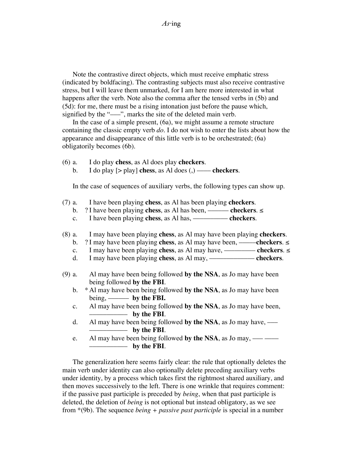Note the contrastive direct objects, which must receive emphatic stress (indicated by boldfacing). The contrasting subjects must also receive contrastive stress, but I will leave them unmarked, for I am here more interested in what happens after the verb. Note also the comma after the tensed verbs in (5b) and (5d): for me, there must be a rising intonation just before the pause which, signified by the "—", marks the site of the deleted main verb.

In the case of a simple present, (6a), we might assume a remote structure containing the classic empty verb *do.* I do not wish to enter the lists about how the appearance and disappearance of this little verb is to be orchestrated; (6a) obligatorily becomes (6b).

- (6) a. I do play **chess**, as Al does play **checkers**.
	- b. I do play  $\lceil$  > play] **chess**, as Al does  $\left($ , $\right)$  —— **checkers**.

In the case of sequences of auxiliary verbs, the following types can show up.

- (7) a. I have been playing **chess**, as Al has been playing **checkers**.
- b. ? I have been playing **chess**, as Al has been, –––––– **checkers**. ≤
- c. I have been playing **chess**, as Al has, –––––––––– **checkers**.
- (8) a. I may have been playing **chess**, as Al may have been playing **checkers**.
- b. ? I may have been playing **chess**, as Al may have been, –––––**checkers**. ≤
- c. I may have been playing **chess**, as Al may have, ––––––––– **checkers**. ≤
	- d. I may have been playing **chess**, as Al may, ––––––––––––– **checkers**.
- (9) a. Al may have been being followed **by the NSA**, as Jo may have been being followed **by the FBI**.
	- b. \* Al may have been being followed **by the NSA**, as Jo may have been being, –––––– **by the FBI.**
	- c. Al may have been being followed **by the NSA**, as Jo may have been, ––––––––––– **by the FBI**.
	- d. Al may have been being followed by the NSA, as Jo may have, ––––––––––– **by the FBI**.
	- e. Al may have been being followed by the NSA, as Jo may,  $\frac{1}{1-\epsilon}$ ––––––––––– **by the FBI**.

The generalization here seems fairly clear: the rule that optionally deletes the main verb under identity can also optionally delete preceding auxiliary verbs under identity, by a process which takes first the rightmost shared auxiliary, and then moves successively to the left. There is one wrinkle that requires comment: if the passive past participle is preceded by *being*, when that past participle is deleted, the deletion of *being* is not optional but instead obligatory, as we see from \*(9b). The sequence *being + passive past participle* is special in a number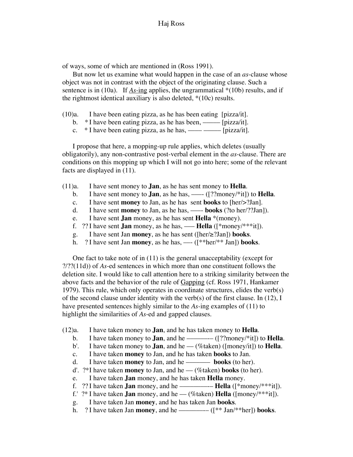of ways, some of which are mentioned in (Ross 1991).

But now let us examine what would happen in the case of an *as*-clause whose object was not in contrast with the object of the originating clause. Such a sentence is in (10a). If *As-*ing applies, the ungrammatical \*(10b) results, and if the rightmost identical auxiliary is also deleted, \*(10c) results.

- (10)a. I have been eating pizza, as he has been eating [pizza/it].
	- b.  $*$  I have been eating pizza, as he has been, ——— [pizza/it].
	- c.  $*$  I have been eating pizza, as he has, —— —— [pizza/it].

I propose that here, a mopping-up rule applies, which deletes (usually obligatorily), any non-contrastive post-verbal element in the *as*-clause. There are conditions on this mopping up which I will not go into here; some of the relevant facts are displayed in (11).

- (11)a. I have sent money to **Jan**, as he has sent money to **Hella**.
	- b. I have sent money to **Jan**, as he has, —— $($ [??money/\*it]) to **Hella**.
	- c. I have sent **money** to Jan, as he has sent **books** to [her/>?Jan].
	- d. I have sent **money** to Jan, as he has, –––- **books** (?to her/??Jan]).
	- e. I have sent **Jan** money, as he has sent **Hella** \*(money).
	- f. ?? I have sent **Jan** money, as he has, —– **Hella** ( $\lceil * \text{money} / * * * \text{it} \rceil$ ).
	- g. I have sent Jan **money**, as he has sent ([her/≥?Jan]) **books**.
	- h. ? I have sent Jan **money**, as he has, —– $(\frac{***}{*}$  Jan]) **books**.

One fact to take note of in (11) is the general unacceptability (except for ?/??(11d)) of *As*-ed sentences in which more than one constituent follows the deletion site. I would like to call attention here to a striking similarity between the above facts and the behavior of the rule of Gapping (cf. Ross 1971, Hankamer 1979). This rule, which only operates in coordinate structures, elides the verb(s) of the second clause under identity with the verb(s) of the first clause. In (12), I have presented sentences highly similar to the *As-*ing examples of (11) to highlight the similarities of *As*-ed and gapped clauses.

- (12)a. I have taken money to **Jan**, and he has taken money to **Hella**.
	- b. I have taken money to **Jan**, and he ––––––-– ([??money/\*it]) to **Hella**.
	- b'. I have taken money to **Jan**, and he (%taken) ( $\text{[money/it]}$ ) to **Hella**.
	- c. I have taken **money** to Jan, and he has taken **books** to Jan.
	- d. I have taken **money** to Jan, and he ––––––– **books** (to her).
	- d'. ?\*I have taken **money** to Jan, and he –– (%taken) **books** (to her).
	- e. I have taken **Jan** money, and he has taken **Hella** money.
	- f. ?? I have taken **Jan** money, and he ––––––––-– **Hella** ([\*money/\*\*\*it]).
	- f.'  $?^*$  I have taken **Jan** money, and he (%taken) **Hella** ( $\text{[money/*** it]}$ ).
	- g. I have taken Jan **money**, and he has taken Jan **books**.
	- h. ? I have taken Jan **money**, and he –––––––-– ([\*\* Jan/\*\*her]) **books**.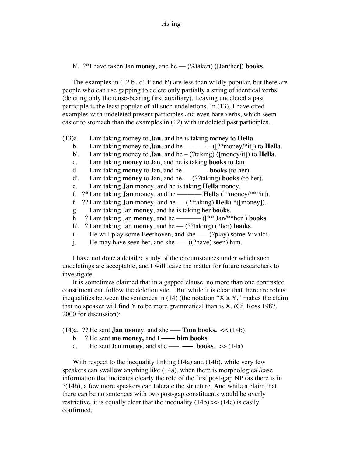h'. ?\*I have taken Jan **money**, and he — (%taken) ([Jan/her]) **books**.

The examples in (12 b', d', f' and h') are less than wildly popular, but there are people who can use gapping to delete only partially a string of identical verbs (deleting only the tense-bearing first auxiliary). Leaving undeleted a past participle is the least popular of all such undeletions. In (13), I have cited examples with undeleted present participles and even bare verbs, which seem easier to stomach than the examples in (12) with undeleted past participles..

(13)a. I am taking money to **Jan**, and he is taking money to **Hella**.

- b. I am taking money to **Jan**, and he ––––––-– ([??money/\*it]) to **Hella**.
- b'. I am taking money to **Jan**, and he (?taking) ([money/it]) to **Hella**.
- c. I am taking **money** to Jan, and he is taking **books** to Jan.
- d. I am taking **money** to Jan, and he ––––––– **books** (to her).
- d'. I am taking **money** to Jan, and he –– (??taking) **books** (to her).
- e. I am taking **Jan** money, and he is taking **Hella** money.
- f.  $?*$ I am taking **Jan** money, and he ———————**Hella** ( $[*money/***it]$ ).
- f.  $?$ ? I am taking **Jan** money, and he (??taking) **Hella** \*( $[money]$ ).
- g. I am taking Jan **money**, and he is taking her **books**.
- h. ? I am taking Jan **money**, and he ––––––– ([\*\* Jan/\*\*her]) **books**.
- h'. ? I am taking Jan **money**, and he –– (??taking) (\*her) **books**.
- i. He will play some Beethoven, and she  $-(-$  (?play) some Vivaldi.
- j. He may have seen her, and she —–  $((?have)$  seen) him.

I have not done a detailed study of the circumstances under which such undeletings are acceptable, and I will leave the matter for future researchers to investigate.

It is sometimes claimed that in a gapped clause, no more than one contrasted constituent can follow the deletion site. But while it is clear that there are robust inequalities between the sentences in (14) (the notation " $X \ge Y$ ," makes the claim that no speaker will find Y to be more grammatical than is X. (Cf. Ross 1987, 2000 for discussion):

- $(14)a$ . ?? He sent **Jan money**, and she —– **Tom books.**  $\ll$   $(14b)$ 
	- b. ? He sent **me money,** and I **–––– him books**
	- c. He sent Jan **money**, and she —– **—–** books.  $\gg$  (14a)

With respect to the inequality linking (14a) and (14b), while very few speakers can swallow anything like (14a), when there is morphological/case information that indicates clearly the role of the first post-gap NP (as there is in ?(14b), a few more speakers can tolerate the structure. And while a claim that there can be no sentences with two post-gap constituents would be overly restrictive, it is equally clear that the inequality  $(14b)$  >>  $(14c)$  is easily confirmed.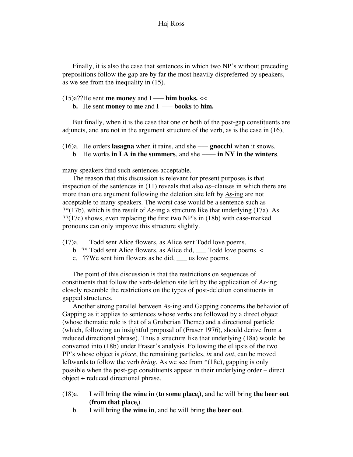### Haj Ross

Finally, it is also the case that sentences in which two NP's without preceding prepositions follow the gap are by far the most heavily dispreferred by speakers, as we see from the inequality in (15).

(15)a??He sent **me money** and I ––– **him books.** <<

b**.** He sent **money** to **me** and I ––– **books** to **him.**

But finally, when it is the case that one or both of the post-gap constituents are adjuncts, and are not in the argument structure of the verb, as is the case in (16),

- (16)a. He orders **lasagna** when it rains, and she ––– **gnocchi** when it snows.
	- b. He works **in LA in the summers**, and she –––– **in NY in the winters**.

many speakers find such sentences acceptable.

The reason that this discussion is relevant for present purposes is that inspection of the sentences in (11) reveals that also *as–*clauses in which there are more than one argument following the deletion site left by *As*-ing are not acceptable to many speakers. The worst case would be a sentence such as ?\*(17b), which is the result of *As*-ing a structure like that underlying (17a). As ??(17c) shows, even replacing the first two NP's in (18b) with case-marked pronouns can only improve this structure slightly.

- (17)a. Todd sent Alice flowers, as Alice sent Todd love poems.
	- b. ?\* Todd sent Alice flowers, as Alice did, \_\_\_ Todd love poems. <
	- c. ??We sent him flowers as he did, \_\_\_ us love poems.

The point of this discussion is that the restrictions on sequences of constituents that follow the verb-deletion site left by the application of *As*-ing closely resemble the restrictions on the types of post-deletion constituents in gapped structures.

Another strong parallel between *As*-ing and Gapping concerns the behavior of Gapping as it applies to sentences whose verbs are followed by a direct object (whose thematic role is that of a Gruberian Theme) and a directional particle (which, following an insightful proposal of (Fraser 1976), should derive from a reduced directional phrase). Thus a structure like that underlying (18a) would be converted into (18b) under Fraser's analysis. Following the ellipsis of the two PP's whose object is *place*, the remaining particles, *in* and *out*, can be moved leftwards to follow the verb *bring*. As we see from \*(18e), gapping is only possible when the post-gap constituents appear in their underlying order – direct object + reduced directional phrase.

- (18)a. I will bring **the wine in (to some place**<sub>i</sub>), and he will bring **the beer out** (**from that place**<sub>i</sub>).
	- b. I will bring **the wine in**, and he will bring **the beer out**.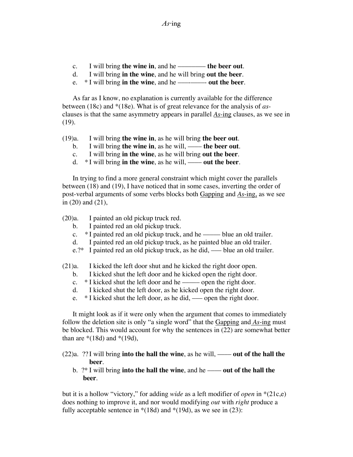- c. I will bring **the wine in**, and he –––––––– **the beer out**.
- d. I will bring **in the wine**, and he will bring **out the beer**.
- e. \* I will bring **in the wine**, and he –––-––––- **out the beer**.

As far as I know, no explanation is currently available for the difference between (18c) and \*(18e). What is of great relevance for the analysis of *as*clauses is that the same asymmetry appears in parallel *As*-ing clauses, as we see in (19).

- (19)a. I will bring **the wine in**, as he will bring **the beer out**.
	- b. I will bring **the wine in**, as he will, **——** the beer out.
	- c. I will bring **in the wine**, as he will bring **out the beer**.
	- d. \* I will bring **in the wine**, as he will, –––– **out the beer**.

In trying to find a more general constraint which might cover the parallels between (18) and (19), I have noticed that in some cases, inverting the order of post-verbal arguments of some verbs blocks both Gapping and *As*-ing, as we see in (20) and (21),

(20)a. I painted an old pickup truck red.

- b. I painted red an old pickup truck.
- c. \* I painted red an old pickup truck, and he ——– blue an old trailer.
- d. I painted red an old pickup truck, as he painted blue an old trailer.
- e.?\* I painted red an old pickup truck, as he did, blue an old trailer.

(21)a. I kicked the left door shut and he kicked the right door open.

- b. I kicked shut the left door and he kicked open the right door.
- c.  $*$  I kicked shut the left door and he ——– open the right door.
- d. I kicked shut the left door, as he kicked open the right door.
- e. \* I kicked shut the left door, as he did, open the right door.

It might look as if it were only when the argument that comes to immediately follow the deletion site is only "a single word" that the Gapping and *As*-ing must be blocked. This would account for why the sentences in (22) are somewhat better than are  $*(18d)$  and  $*(19d)$ ,

(22)a. ?? I will bring **into the hall the wine**, as he will, —— **out of the hall the beer**.

 b. ?\* I will bring **into the hall the wine**, and he –––– **out of the hall the beer**.

but it is a hollow "victory," for adding *wide* as a left modifier of *open* in \*(21c,e) does nothing to improve it, and nor would modifying *out* with *right* produce a fully acceptable sentence in  $*(18d)$  and  $*(19d)$ , as we see in (23):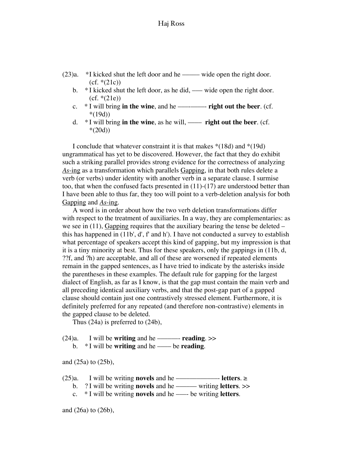- $(23)a.$  \*I kicked shut the left door and he ——— wide open the right door.  $(cf. * (21c))$ 
	- b. \* I kicked shut the left door, as he did, —— wide open the right door.  $(cf. * (21e))$
	- c. \* I will bring **in the wine**, and he –––-––––- **right out the beer**. (cf. \*(19d))
	- d. \* I will bring **in the wine**, as he will, –––– **right out the beer**. (cf.  $*(20d))$

I conclude that whatever constraint it is that makes \*(18d) and \*(19d) ungrammatical has yet to be discovered. However, the fact that they do exhibit such a striking parallel provides strong evidence for the correctness of analyzing *As*-ing as a transformation which parallels Gapping, in that both rules delete a verb (or verbs) under identity with another verb in a separate clause. I surmise too, that when the confused facts presented in  $(11)-(17)$  are understood better than I have been able to thus far, they too will point to a verb-deletion analysis for both Gapping and *As*-ing.

A word is in order about how the two verb deletion transformations differ with respect to the treatment of auxiliaries. In a way, they are complementaries: as we see in  $(11)$ , Gapping requires that the auxiliary bearing the tense be deleted – this has happened in (11b', d', f' and h'). I have not conducted a survey to establish what percentage of speakers accept this kind of gapping, but my impression is that it is a tiny minority at best. Thus for these speakers, only the gappings in (11b, d, ??f, and ?h) are acceptable, and all of these are worsened if repeated elements remain in the gapped sentences, as I have tried to indicate by the asterisks inside the parentheses in these examples. The default rule for gapping for the largest dialect of English, as far as I know, is that the gap must contain the main verb and all preceding identical auxiliary verbs, and that the post-gap part of a gapped clause should contain just one contrastively stressed element. Furthermore, it is definitely preferred for any repeated (and therefore non-contrastive) elements in the gapped clause to be deleted.

Thus (24a) is preferred to (24b),

- (24)a. I will be **writing** and he ––––––- **reading**. >>
	- b. \* I will be **writing** and he –––– be **reading**.

and (25a) to (25b),

- (25)a. I will be writing **novels** and he ––––––––––––- **letters**. ≥
- b. ? I will be writing **novels** and he –––––– writing **letters**. >>
- c. \* I will be writing **novels** and he –––- be writing **letters**.

and (26a) to (26b),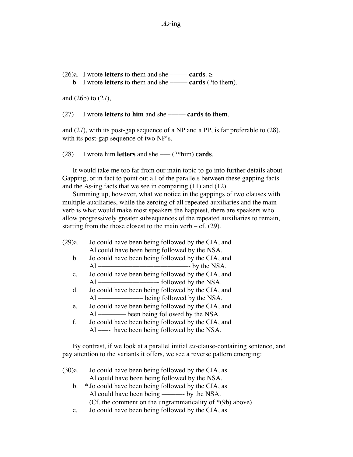(26)a. I wrote **letters** to them and she ———**cards**.  $\geq$ b. I wrote **letters** to them and she ––––– **cards** (?to them).

and (26b) to (27),

(27) I wrote **letters to him** and she ––––– **cards to them**.

and (27), with its post-gap sequence of a NP and a PP, is far preferable to (28), with its post-gap sequence of two NP's.

(28) I wrote him **letters** and she ––– (?\*him) **cards**.

It would take me too far from our main topic to go into further details about Gapping, or in fact to point out all of the parallels between these gapping facts and the *As*-ing facts that we see in comparing (11) and (12).

Summing up, however, what we notice in the gappings of two clauses with multiple auxiliaries, while the zeroing of all repeated auxiliaries and the main verb is what would make most speakers the happiest, there are speakers who allow progressively greater subsequences of the repeated auxiliaries to remain, starting from the those closest to the main verb  $-$  cf. (29).

| (29)a.         | Jo could have been being followed by the CIA, and |
|----------------|---------------------------------------------------|
|                | Al could have been being followed by the NSA.     |
| b.             | Jo could have been being followed by the CIA, and |
|                | by the NSA.<br>A1                                 |
| $\mathbf{c}$ . | Jo could have been being followed by the CIA, and |
|                | AL                                                |
| d.             | Jo could have been being followed by the CIA, and |
|                |                                                   |
| e.             | Jo could have been being followed by the CIA, and |
|                |                                                   |
| f.             | Jo could have been being followed by the CIA, and |
|                | Al —— have been being followed by the NSA.        |

By contrast, if we look at a parallel initial *as*-clause-containing sentence, and pay attention to the variants it offers, we see a reverse pattern emerging:

| (30)a. | Jo could have been being followed by the CIA, as           |  |  |
|--------|------------------------------------------------------------|--|--|
|        | Al could have been being followed by the NSA.              |  |  |
| b.     | * Jo could have been being followed by the CIA, as         |  |  |
|        |                                                            |  |  |
|        | (Cf. the comment on the ungrammaticality of $*(9b)$ above) |  |  |
|        | T 111 1 1 011 11 1 0TA                                     |  |  |

c. Jo could have been being followed by the CIA, as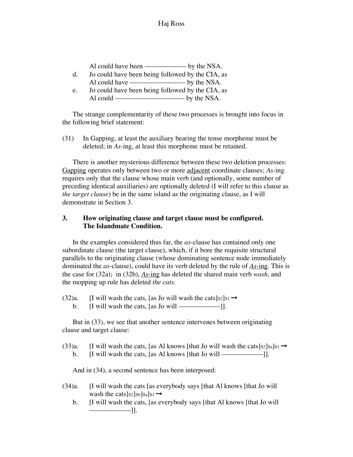## Haj Ross

| Al could have been | by the NSA. |
|--------------------|-------------|
|--------------------|-------------|

- d. Jo could have been being followed by the CIA, as Al could have –––––––––––––––– by the NSA.
- e. Jo could have been being followed by the CIA, as Al could –––––––––––––––––––– by the NSA.

The strange complementarity of these two processes is brought into focus in the following brief statement:

(31) In Gapping, at least the auxiliary bearing the tense morpheme must be deleted; in *As*-ing, at least this morpheme must be retained.

There is another mysterious difference between these two deletion processes: Gapping operates only between two or more adjacent coordinate clauses; *As*-ing requires only that the clause whose main verb (and optionally, some number of preceding identical auxiliaries) are optionally deleted (I will refer to this clause as *the target clause*) be in the same island as the originating clause, as I will demonstrate in Section 3.

## **3. How originating clause and target clause must be configured. The Islandmate Condition.**

In the examples considered thus far, the *as*-clause has contained only one subordinate clause (the target clause), which, if it bore the requisite structural parallels to the originating clause (whose dominating sentence node immediately dominated the *as*-clause), could have its verb deleted by the rule of *As*-ing. This is the case for (32a); in (32b), *As*-ing has deleted the shared main verb *wash*, and the mopping up rule has deleted *the cats*.

- (32)a. [I will wash the cats, [as Jo will wash the cats] $s_2$ ] $s_1 \rightarrow$ 
	- b.  $[I \text{ will wash the cats}, \text{[as Jo will —]}.$

But in (33), we see that another sentence intervenes between originating clause and target clause:

(33)a. [I will wash the cats, [as Al knows [that Jo will wash the cats] $s_2$ ] $s_a$ ] $s_1 \rightarrow$ b.  $[I \text{ will wash the cats}, \text{[as Al knows [that Jo will —]}.]$ 

And in (34), a second sentence has been interposed:

- (34)a. [I will wash the cats [as everybody says [that Al knows [that Jo will wash the cats] $s_2$ ] $s_b$ ] $s_a$ ] $s_1 \rightarrow$ 
	- b. [I will wash the cats, [as everybody says [that Al knows [that Jo will ––––––––––––]].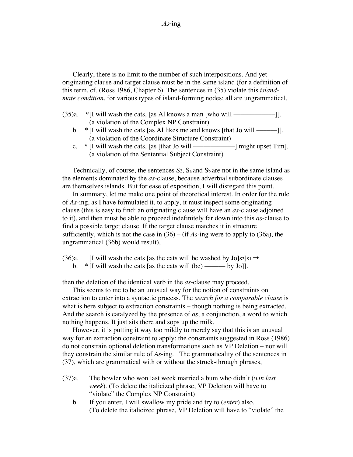Clearly, there is no limit to the number of such interpositions. And yet originating clause and target clause must be in the same island (for a definition of this term, cf. (Ross 1986, Chapter 6). The sentences in (35) violate this *islandmate condition*, for various types of island-forming nodes; all are ungrammatical.

- (35)a. \*[I will wash the cats, [as Al knows a man [who will ––––––––––––]]. (a violation of the Complex NP Constraint)
	- b. \* [I will wash the cats [as Al likes me and knows [that Jo will ––––––]]. (a violation of the Coordinate Structure Constraint)
	- c.  $*$  [I will wash the cats, [as [that Jo will —————————] might upset Tim]. (a violation of the Sentential Subject Constraint)

Technically, of course, the sentences  $S_2$ ,  $S_a$  and  $S_b$  are not in the same island as the elements dominated by the *as*-clause, because adverbial subordinate clauses are themselves islands. But for ease of exposition, I will disregard this point.

In summary, let me make one point of theoretical interest. In order for the rule of *As*-ing, as I have formulated it, to apply, it must inspect some originating clause (this is easy to find: an originating clause will have an *as*-clause adjoined to it), and then must be able to proceed indefinitely far down into this *as*-clause to find a possible target clause. If the target clause matches it in structure sufficiently, which is not the case in (36) – (if *As-*ing were to apply to (36a), the ungrammatical (36b) would result),

- (36)a. [I will wash the cats [as the cats will be washed by  $Jo|s_2|s_1 \rightarrow$ 
	- b. \* [I will wash the cats [as the cats will (be) –––––– by Jo]].

then the deletion of the identical verb in the *as*-clause may proceed.

This seems to me to be an unusual way for the notion of constraints on extraction to enter into a syntactic process. The *search for a comparable clause* is what is here subject to extraction constraints – though nothing is being extracted. And the search is catalyzed by the presence of *as*, a conjunction, a word to which nothing happens. It just sits there and sops up the milk.

However, it is putting it way too mildly to merely say that this is an unusual way for an extraction constraint to apply: the constraints suggested in Ross (1986) do not constrain optional deletion transformations such as VP Deletion – nor will they constrain the similar rule of *As*-ing. The grammaticality of the sentences in (37), which are grammatical with or without the struck-through phrases,

- (37)a. The bowler who won last week married a bum who didn't (*win last week*). (To delete the italicized phrase, VP Deletion will have to "violate" the Complex NP Constraint)
	- b. If you enter, I will swallow my pride and try to (*enter*) also. (To delete the italicized phrase, VP Deletion will have to "violate" the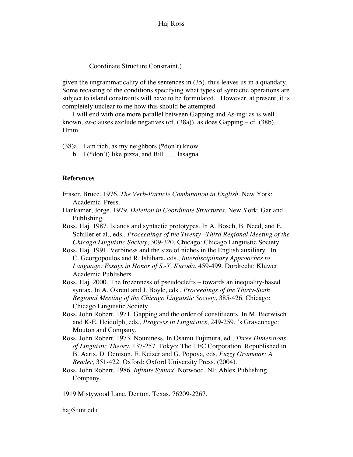Coordinate Structure Constraint.)

given the ungrammaticality of the sentences in (35), thus leaves us in a quandary. Some recasting of the conditions specifying what types of syntactic operations are subject to island constraints will have to be formulated. However, at present, it is completely unclear to me how this should be attempted.

I will end with one more parallel between Gapping and *As-*ing: as is well known, *as-*clauses exclude negatives (cf. (38a)), as does Gapping – cf. (38b). Hmm.

(38)a. I am rich, as my neighbors (\*don't) know.

b. I ( $*$ don't) like pizza, and Bill  $\Box$  lasagna.

#### **References**

- Fraser, Bruce. 1976. *The Verb-Particle Combination in English.* New York: Academic Press*.*
- Hankamer, Jorge. 1979. *Deletion in Coordinate Structures*. New York: Garland Publishing.
- Ross, Haj. 1987. Islands and syntactic prototypes. In A. Bosch, B. Need, and E. Schiller et al., eds., *Proceedings of the Twenty –Third Regional Meeting of the Chicago Linguistic Society*, 309-320. Chicago: Chicago Linguistic Society.

Ross, Haj. 1991. Verbiness and the size of niches in the English auxiliary. In C. Georgopoulos and R. Ishihara, eds., *Interdisciplinary Approaches to Language: Essays in Honor of S.-Y. Kuroda*, 459-499. Dordrecht: Kluwer Academic Publishers.

- Ross, Haj. 2000. The frozenness of pseudoclefts towards an inequality-based syntax. In A. Okrent and J. Boyle, eds., *Proceedings of the Thirty-Sixth Regional Meeting of the Chicago Linguistic Society*, 385-426. Chicago: Chicago Linguistic Society.
- Ross, John Robert. 1971. Gapping and the order of constituents. In M. Bierwisch and K-E. Heidolph, eds., *Progress in Linguistics*, 249-259. 's Gravenhage: Mouton and Company.
- Ross, John Robert. 1973. Nouniness. In Osamu Fujimura, ed., *Three Dimensions of Linguistic Theory*, 137-257. Tokyo: The TEC Corporation. Republished in B. Aarts, D. Denison, E. Keizer and G. Popova*,* eds. *Fuzzy Grammar: A Reader,* 351-422. Oxford: Oxford University Press. (2004).
- Ross, John Robert. 1986. *Infinite Syntax*! Norwood, NJ: Ablex Publishing Company*.*

1919 Mistywood Lane, Denton, Texas. 76209-2267.

haj@unt.edu